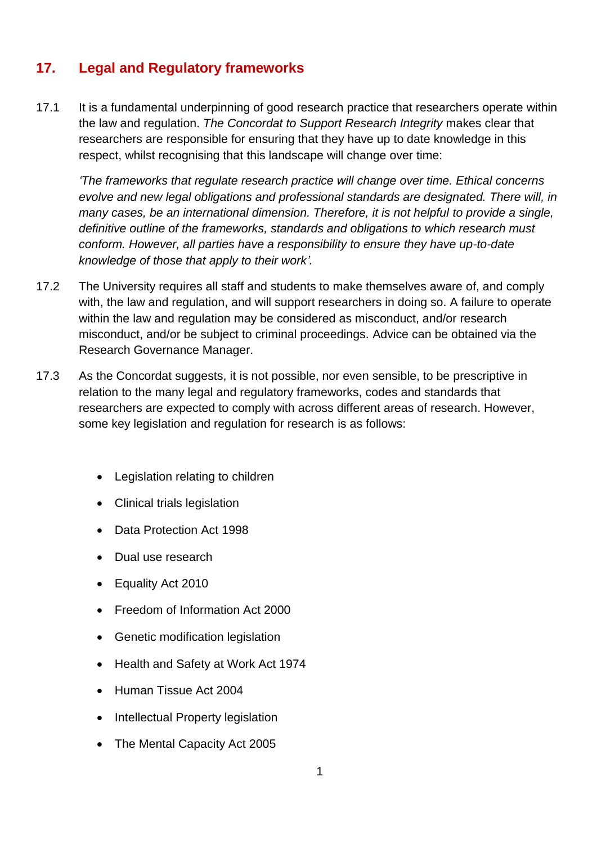## **17. Legal and Regulatory frameworks**

17.1 It is a fundamental underpinning of good research practice that researchers operate within the law and regulation. *The Concordat to Support Research Integrity* makes clear that researchers are responsible for ensuring that they have up to date knowledge in this respect, whilst recognising that this landscape will change over time:

*'The frameworks that regulate research practice will change over time. Ethical concerns evolve and new legal obligations and professional standards are designated. There will, in many cases, be an international dimension. Therefore, it is not helpful to provide a single, definitive outline of the frameworks, standards and obligations to which research must conform. However, all parties have a responsibility to ensure they have up-to-date knowledge of those that apply to their work'.*

- 17.2 The University requires all staff and students to make themselves aware of, and comply with, the law and regulation, and will support researchers in doing so. A failure to operate within the law and regulation may be considered as misconduct, and/or research misconduct, and/or be subject to criminal proceedings. Advice can be obtained via the Research Governance Manager.
- 17.3 As the Concordat suggests, it is not possible, nor even sensible, to be prescriptive in relation to the many legal and regulatory frameworks, codes and standards that researchers are expected to comply with across different areas of research. However, some key legislation and regulation for research is as follows:
	- Legislation relating to children
	- Clinical trials legislation
	- Data Protection Act 1998
	- Dual use research
	- Equality Act 2010
	- Freedom of Information Act 2000
	- Genetic modification legislation
	- Health and Safety at Work Act 1974
	- Human Tissue Act 2004
	- Intellectual Property legislation
	- The Mental Capacity Act 2005